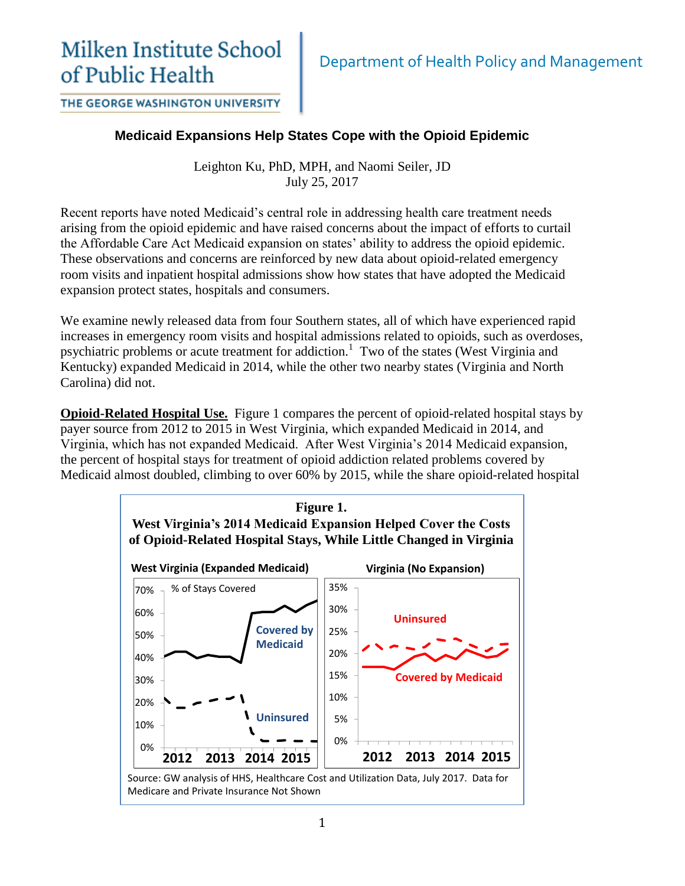## Milken Institute School of Public Health

## **Medicaid Expansions Help States Cope with the Opioid Epidemic**

Leighton Ku, PhD, MPH, and Naomi Seiler, JD July 25, 2017

Recent reports have noted Medicaid's central role in addressing health care treatment needs arising from the opioid epidemic and have raised concerns about the impact of efforts to curtail the Affordable Care Act Medicaid expansion on states' ability to address the opioid epidemic. These observations and concerns are reinforced by new data about opioid-related emergency room visits and inpatient hospital admissions show how states that have adopted the Medicaid expansion protect states, hospitals and consumers.

We examine newly released data from four Southern states, all of which have experienced rapid increases in emergency room visits and hospital admissions related to opioids, such as overdoses, psychiatric problems or acute treatment for addiction.<sup>1</sup> Two of the states (West Virginia and Kentucky) expanded Medicaid in 2014, while the other two nearby states (Virginia and North Carolina) did not.

**Opioid-Related Hospital Use.** Figure 1 compares the percent of opioid-related hospital stays by payer source from 2012 to 2015 in West Virginia, which expanded Medicaid in 2014, and Virginia, which has not expanded Medicaid. After West Virginia's 2014 Medicaid expansion, the percent of hospital stays for treatment of opioid addiction related problems covered by Medicaid almost doubled, climbing to over 60% by 2015, while the share opioid-related hospital

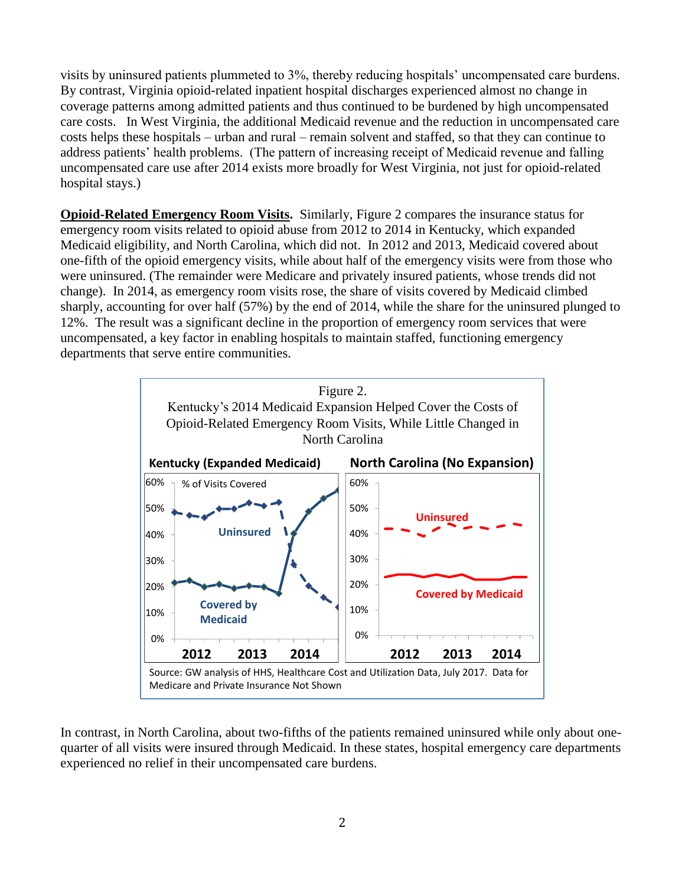visits by uninsured patients plummeted to 3%, thereby reducing hospitals' uncompensated care burdens. By contrast, Virginia opioid-related inpatient hospital discharges experienced almost no change in coverage patterns among admitted patients and thus continued to be burdened by high uncompensated care costs. In West Virginia, the additional Medicaid revenue and the reduction in uncompensated care costs helps these hospitals – urban and rural – remain solvent and staffed, so that they can continue to address patients' health problems. (The pattern of increasing receipt of Medicaid revenue and falling uncompensated care use after 2014 exists more broadly for West Virginia, not just for opioid-related hospital stays.)

**Opioid-Related Emergency Room Visits.** Similarly, Figure 2 compares the insurance status for emergency room visits related to opioid abuse from 2012 to 2014 in Kentucky, which expanded Medicaid eligibility, and North Carolina, which did not. In 2012 and 2013, Medicaid covered about one-fifth of the opioid emergency visits, while about half of the emergency visits were from those who were uninsured. (The remainder were Medicare and privately insured patients, whose trends did not change). In 2014, as emergency room visits rose, the share of visits covered by Medicaid climbed sharply, accounting for over half (57%) by the end of 2014, while the share for the uninsured plunged to 12%. The result was a significant decline in the proportion of emergency room services that were uncompensated, a key factor in enabling hospitals to maintain staffed, functioning emergency departments that serve entire communities.



In contrast, in North Carolina, about two-fifths of the patients remained uninsured while only about onequarter of all visits were insured through Medicaid. In these states, hospital emergency care departments experienced no relief in their uncompensated care burdens.